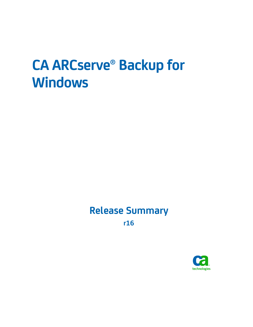# **CA ARCserve® Backup for Windows**

# **Release Summary**

**r16**

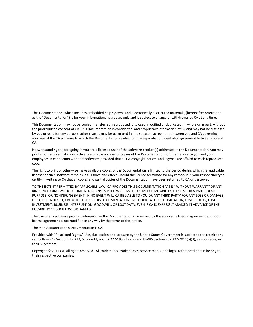This Documentation, which includes embedded help systems and electronically distributed materials, (hereinafter referred to as the "Documentation") is for your informational purposes only and is subject to change or withdrawal by CA at any time.

This Documentation may not be copied, transferred, reproduced, disclosed, modified or duplicated, in whole or in part, without the prior written consent of CA. This Documentation is confidential and proprietary information of CA and may not be disclosed by you or used for any purpose other than as may be permitted in (i) a separate agreement between you and CA governing your use of the CA software to which the Documentation relates; or (ii) a separate confidentiality agreement between you and CA.

Notwithstanding the foregoing, if you are a licensed user of the software product(s) addressed in the Documentation, you may print or otherwise make available a reasonable number of copies of the Documentation for internal use by you and your employees in connection with that software, provided that all CA copyright notices and legends are affixed to each reproduced copy.

The right to print or otherwise make available copies of the Documentation is limited to the period during which the applicable license for such software remains in full force and effect. Should the license terminate for any reason, it is your responsibility to certify in writing to CA that all copies and partial copies of the Documentation have been returned to CA or destroyed.

TO THE EXTENT PERMITTED BY APPLICABLE LAW, CA PROVIDES THIS DOCUMENTATION "AS IS" WITHOUT WARRANTY OF ANY KIND, INCLUDING WITHOUT LIMITATION, ANY IMPLIED WARRANTIES OF MERCHANTABILITY, FITNESS FOR A PARTICULAR PURPOSE, OR NONINFRINGEMENT. IN NO EVENT WILL CA BE LIABLE TO YOU OR ANY THIRD PARTY FOR ANY LOSS OR DAMAGE, DIRECT OR INDIRECT, FROM THE USE OF THIS DOCUMENTATION, INCLUDING WITHOUT LIMITATION, LOST PROFITS, LOST INVESTMENT, BUSINESS INTERRUPTION, GOODWILL, OR LOST DATA, EVEN IF CA IS EXPRESSLY ADVISED IN ADVANCE OF THE POSSIBILITY OF SUCH LOSS OR DAMAGE.

The use of any software product referenced in the Documentation is governed by the applicable license agreement and such license agreement is not modified in any way by the terms of this notice.

#### The manufacturer of this Documentation is CA.

Provided with "Restricted Rights." Use, duplication or disclosure by the United States Government is subject to the restrictions set forth in FAR Sections 12.212, 52.227-14, and 52.227-19(c)(1) - (2) and DFARS Section 252.227-7014(b)(3), as applicable, or their successors.

Copyright © 2011 CA. All rights reserved. All trademarks, trade names, service marks, and logos referenced herein belong to their respective companies.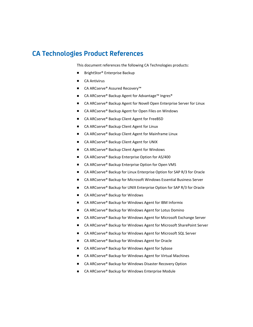#### **CA Technologies Product References**

This document references the following CA Technologies products:

- BrightStor® Enterprise Backup
- CA Antivirus
- CA ARCserve® Assured Recovery™
- CA ARCserve® Backup Agent for Advantage<sup>™</sup> Ingres®
- CA ARCserve® Backup Agent for Novell Open Enterprise Server for Linux
- CA ARCserve® Backup Agent for Open Files on Windows
- CA ARCserve<sup>®</sup> Backup Client Agent for FreeBSD
- CA ARCserve® Backup Client Agent for Linux
- CA ARCserve® Backup Client Agent for Mainframe Linux
- CA ARCserve® Backup Client Agent for UNIX
- CA ARCserve® Backup Client Agent for Windows
- CA ARCserve® Backup Enterprise Option for AS/400
- CA ARCserve® Backup Enterprise Option for Open VMS
- CA ARCserve® Backup for Linux Enterprise Option for SAP R/3 for Oracle
- CA ARCserve® Backup for Microsoft Windows Essential Business Server
- CA ARCserve<sup>®</sup> Backup for UNIX Enterprise Option for SAP R/3 for Oracle
- CA ARCserve® Backup for Windows
- CA ARCserve® Backup for Windows Agent for IBM Informix
- CA ARCserve<sup>®</sup> Backup for Windows Agent for Lotus Domino
- CA ARCserve® Backup for Windows Agent for Microsoft Exchange Server
- CA ARCserve® Backup for Windows Agent for Microsoft SharePoint Server
- CA ARCserve® Backup for Windows Agent for Microsoft SQL Server
- CA ARCserve® Backup for Windows Agent for Oracle
- CA ARCserve® Backup for Windows Agent for Sybase
- CA ARCserve® Backup for Windows Agent for Virtual Machines
- CA ARCserve® Backup for Windows Disaster Recovery Option
- CA ARCserve® Backup for Windows Enterprise Module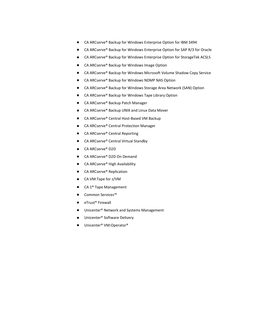- CA ARCserve® Backup for Windows Enterprise Option for IBM 3494
- CA ARCserve® Backup for Windows Enterprise Option for SAP R/3 for Oracle
- CA ARCserve® Backup for Windows Enterprise Option for StorageTek ACSLS
- CA ARCserve® Backup for Windows Image Option
- CA ARCserve® Backup for Windows Microsoft Volume Shadow Copy Service
- CA ARCserve® Backup for Windows NDMP NAS Option
- CA ARCserve® Backup for Windows Storage Area Network (SAN) Option
- CA ARCserve® Backup for Windows Tape Library Option
- CA ARCserve® Backup Patch Manager
- CA ARCserve® Backup UNIX and Linux Data Mover
- CA ARCserve® Central Host-Based VM Backup
- CA ARCserve® Central Protection Manager
- CA ARCserve® Central Reporting
- CA ARCserve® Central Virtual Standby
- CA ARCserve<sup>®</sup> D2D
- CA ARCserve® D2D On Demand
- CA ARCserve® High Availability
- CA ARCserve<sup>®</sup> Replication
- CA VM:Tape for z/VM
- CA  $1^{\circ}$  Tape Management
- Common Services™
- eTrust<sup>®</sup> Firewall
- Unicenter<sup>®</sup> Network and Systems Management
- Unicenter<sup>®</sup> Software Delivery
- Unicenter<sup>®</sup> VM:Operator<sup>®</sup>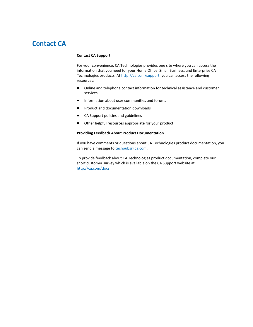#### **Contact CA**

#### **Contact CA Support**

For your convenience, CA Technologies provides one site where you can access the information that you need for your Home Office, Small Business, and Enterprise CA Technologies products. At [http://ca.com/support,](http://www.ca.com/support) you can access the following resources:

- Online and telephone contact information for technical assistance and customer services
- Information about user communities and forums
- Product and documentation downloads
- CA Support policies and guidelines
- Other helpful resources appropriate for your product

#### **Providing Feedback About Product Documentation**

If you have comments or questions about CA Technologies product documentation, you can send a message to **techpubs@ca.com**.

To provide feedback about CA Technologies product documentation, complete our short customer survey which is available on the CA Support website at [http://ca.com/docs.](http://www.ca.com/docs)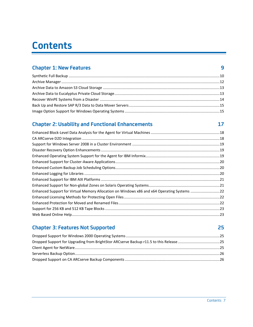## **Contents**

#### **[Chapter 1: New Features](#page-8-0) 9**

#### Recover WinPE Systems from a Disaster [...................................................................................................................14](#page-13-0) [Back Up and Restore SAP R/3 Data to Data Mover Servers.......................................................................................15](#page-14-0) [Image Option Support for Windows Operating Systems...........................................................................................15](#page-14-1)

#### **[Chapter 2: Usability and Functional Enhancements](#page-16-0) 17**

| Enhanced Support for Virtual Memory Allocation on Windows x86 and x64 Operating Systems 22 |  |
|--------------------------------------------------------------------------------------------|--|
|                                                                                            |  |
|                                                                                            |  |
|                                                                                            |  |
|                                                                                            |  |
|                                                                                            |  |

#### **[Chapter 3: Features Not Supported](#page-24-0) 25**

| . .                         | a shekara |  |
|-----------------------------|-----------|--|
| ł<br>۰,<br>v<br>w<br>정도 아이들 | v<br>. .  |  |
|                             | л.<br>۰,  |  |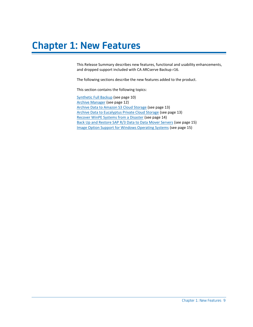## <span id="page-8-0"></span>**Chapter 1: New Features**

This Release Summary describes new features, functional and usability enhancements, and dropped support included with CA ARCserve Backup r16.

The following sections describe the new features added to the product.

This section contains the following topics:

[Synthetic Full Backup](#page-9-0) (see page 10) [Archive Manager](#page-11-0) (see page 12) [Archive Data to Amazon S3 Cloud Storage](#page-12-0) (see page 13) [Archive Data to Eucalyptus Private Cloud Storage](#page-12-1) (see page 13) [Recover WinPE Systems from a Disaster](#page-13-0) (see page 14) Back Up [and Restore SAP R/3 Data to Data Mover Servers](#page-14-0) (see page 15) [Image Option Support for Windows Operating Systems](#page-14-1) (see page 15)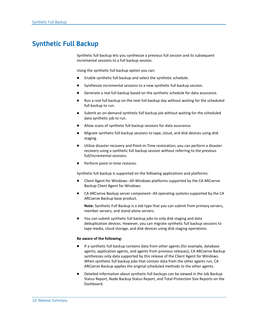#### <span id="page-9-0"></span>**Synthetic Full Backup**

Synthetic full backup lets you synthesize a previous full session and its subsequent incremental sessions to a full backup session.

Using the synthetic full backup option you can:

- Enable synthetic full backup and select the synthetic schedule.
- Synthesize incremental sessions to a new synthetic full backup session.
- Generate a real full backup based on the synthetic schedule for data assurance.
- Run a real full backup on the next full backup day without waiting for the scheduled full backup to run.
- Submit an on-demand synthetic full backup job without waiting for the scheduled data synthetic job to run.
- Allow scans of synthetic full backup sessions for data assurance.
- Migrate synthetic full backup sessions to tape, cloud, and disk devices using disk staging.
- Utilize disaster recovery and Point-in-Time restoration; you can perform a disaster recovery using a synthetic full backup session without referring to the previous full/incremental sessions.
- Perform point-in-time restores.

Synthetic full backup is supported on the following applications and platforms:

- Client Agent for Windows--All Windows platforms supported by the CA ARCserve Backup Client Agent for Windows.
- CA ARCserve Backup server component--All operating systems supported by the CA ARCserve Backup base product.

**Note:** Synthetic Full Backup is a Job type that you can submit from primary servers, member servers, and stand-alone servers.

■ You can submit synthetic full backup jobs to only disk staging and data deduplication devices. However, you can migrate synthetic full backup sessions to tape media, cloud storage, and disk devices using disk staging operations.

#### **Be aware of the following:**

- If a synthetic full backup contains data from other agents (for example, database agents, application agents, and agents from previous releases), CA ARCserve Backup synthesizes only data supported by this release of the Client Agent for Windows. When synthetic full backup jobs that contain data from the other agents run, CA ARCserve Backup applies the original scheduled methods to the other agents.
- Detailed information about synthetic full backups can be viewed in the Job Backup Status Report, Node Backup Status Report, and Total Protection Size Reports on the Dashboard.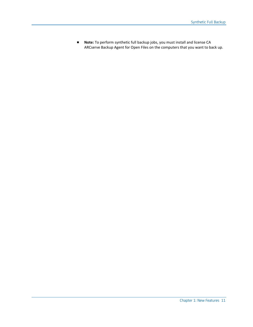■ **Note:** To perform synthetic full backup jobs, you must install and license CA ARCserve Backup Agent for Open Files on the computers that you want to back up.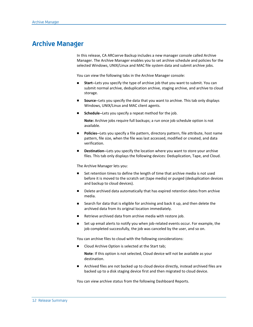#### <span id="page-11-0"></span>**Archive Manager**

In this release, CA ARCserve Backup includes a new manager console called Archive Manager. The Archive Manager enables you to set archive schedule and policies for the selected Windows, UNIX/Linux and MAC file system data and submit archive jobs.

You can view the following tabs in the Archive Manager console:

- **Start--Lets you specify the type of archive job that you want to submit. You can** submit normal archive, deduplication archive, staging archive, and archive to cloud storage.
- **Source--Lets you specify the data that you want to archive. This tab only displays** Windows, UNIX/Linux and MAC client agents.
- **Schedule--Lets you specify a repeat method for the job.**

**Note:** Archive jobs require full backups; a run once job schedule option is not available.

- **Policies--Lets you specify a file pattern, directory pattern, file attribute, host name** pattern, file size, when the file was last accessed, modified or created, and data verification.
- **Destination--Lets you specify the location where you want to store your archive** files. This tab only displays the following devices: Deduplication, Tape, and Cloud.

The Archive Manager lets you:

- Set retention times to define the length of time that archive media is not used before it is moved to the scratch set (tape media) or purged (deduplication devices and backup to cloud devices).
- Delete archived data automatically that has expired retention dates from archive media.
- Search for data that is eligible for archiving and back it up, and then delete the archived data from its original location immediately.
- Retrieve archived data from archive media with restore job.
- Set up email alerts to notify you when job-related events occur. For example, the job completed successfully, the job was canceled by the user, and so on.

You can archive files to cloud with the following considerations:

Cloud Archive Option is selected at the Start tab;

**Note**: If this option is not selected, Cloud device will not be available as your destination.

Archived files are not backed up to cloud device directly, instead archived files are backed up to a disk staging device first and then migrated to cloud device.

You can view archive status from the following Dashboard Reports.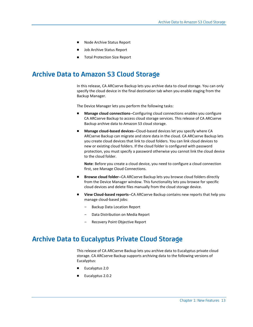- Node Archive Status Report
- Job Archive Status Report
- **Total Protection Size Report**

#### <span id="page-12-0"></span>**Archive Data to Amazon S3 Cloud Storage**

In this release, CA ARCserve Backup lets you archive data to cloud storage. You can only specify the cloud device in the final destination tab when you enable staging from the Backup Manager.

The Device Manager lets you perform the following tasks:

- **Manage cloud connections--Configuring cloud connections enables you configure** CA ARCserve Backup to access cloud storage services. This release of CA ARCserve Backup archive data to Amazon S3 cloud storage.
- **Manage cloud-based devices--**Cloud-based devices let you specify where CA ARCserve Backup can migrate and store data in the cloud. CA ARCserve Backup lets you create cloud devices that link to cloud folders. You can link cloud devices to new or existing cloud folders. If the cloud folder is configured with password protection, you must specify a password otherwise you cannot link the cloud device to the cloud folder.

**Note**: Before you create a cloud device, you need to configure a cloud connection first, see Manage Cloud Connections.

- **Browse cloud folder--CA ARCserve Backup lets you browse cloud folders directly** from the Device Manager window. This functionality lets you browse for specific cloud devices and delete files manually from the cloud storage device.
- **View Cloud-based reports--**CA ARCserve Backup contains new reports that help you manage cloud-based jobs:
	- Backup Data Location Report
	- Data Distribution on Media Report
	- Recovery Point Objective Report

#### <span id="page-12-1"></span>**Archive Data to Eucalyptus Private Cloud Storage**

This release of CA ARCserve Backup lets you archive data to Eucalyptus private cloud storage. CA ARCserve Backup supports archiving data to the following versions of Eucalyptus:

- Eucalyptus 2.0
- Eucalyptus 2.0.2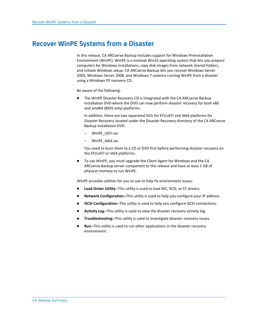#### <span id="page-13-0"></span>**Recover WinPE Systems from a Disaster**

In this release, CA ARCserve Backup includes support for Windows Preinstallation Environment (WinPE). WinPE is a minimal Win32 operating system that lets you prepare computers for Windows installations, copy disk images from network shared folders, and initiate Windows setup. CA ARCserve Backup lets you recover Windows Server 2003, Windows Server 2008, and Windows 7 systems running WinPE from a disaster using a Windows PE recovery CD.

Be aware of the following:

The WinPE Disaster Recovery CD is integrated with the CA ARCserve Backup Installation DVD where the DVD can now perform disaster recovery for both x86 and amd64 (BIOS only) platforms.

In addition, there are two separated ISOs for EFI/uEFI and IA64 platforms for Disaster Recovery located under the Disaster Recovery directory of the CA ARCserve Backup Installation DVD:

- WinPE\_UEFI.iso
- WinPE\_IA64.iso

You need to burn them to a CD or DVD first before performing disaster recovery on the EFI/uEFI or IA64 platforms.

■ To use WinPE, you must upgrade the Client Agent for Windows and the CA ARCserve Backup server component to this release and have at least 1 GB of physical memory to run WinPE.

WinPE provides utilities for you to use to help fix environment issues:

- Load Driver Utility--This utility is used to load NIC, SCSI, or FC drivers.
- **Network Configuration--**This utility is used to help you configure your IP address.
- **iSCSI Configuration--**This utility is used to help you configure iSCSI connections.
- **Activity Log--This utility is used to view the disaster recovery activity log.**
- **Troubleshooting--**This utility is used to investigate disaster recovery issues.
- Run--This utility is used to run other applications in the disaster recovery environment.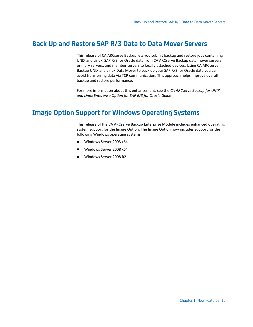#### <span id="page-14-0"></span>**Back Up and Restore SAP R/3 Data to Data Mover Servers**

This release of CA ARCserve Backup lets you submit backup and restore jobs containing UNIX and Linux, SAP R/3 for Oracle data from CA ARCserve Backup data mover servers, primary servers, and member servers to locally attached devices. Using CA ARCserve Backup UNIX and Linux Data Mover to back up your SAP R/3 for Oracle data you can avoid transferring data via TCP communication. This approach helps improve overall backup and restore performance.

For more information about this enhancement, see the *CA ARCserve Backup for UNIX and Linux Enterprise Option for SAP R/3 for Oracle Guide*.

## <span id="page-14-1"></span>**Image Option Support for Windows Operating Systems**

This release of the CA ARCserve Backup Enterprise Module includes enhanced operating system support for the Image Option. The Image Option now includes support for the following Windows operating systems:

- Windows Server 2003 x64
- Windows Server 2008 x64
- Windows Server 2008 R2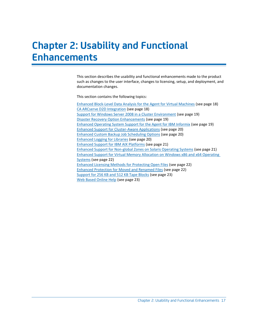## <span id="page-16-0"></span>**Chapter 2: Usability and Functional Enhancements**

This section describes the usability and functional enhancements made to the product such as changes to the user interface, changes to licensing, setup, and deployment, and documentation changes.

This section contains the following topics:

[Enhanced Block-Level Data Analysis for the Agent for Virtual Machines](#page-17-0) (see page 18) [CA ARCserve D2D Integration](#page-17-1) (see page 18) [Support for Windows Server 2008 in a Cluster Environment](#page-18-0) (see page 19) [Disaster Recovery Option Enhancements](#page-18-1) (see page 19) [Enhanced Operating System Support for the Agent for IBM Informix](#page-18-2) (see page 19) [Enhanced Support for Cluster-Aware Applications](#page-19-0) (see page 20) [Enhanced Custom Backup Job Scheduling Options](#page-19-1) (see page 20) [Enhanced Logging for Libraries](#page-19-2) (see page 20) [Enhanced Support for IBM AIX Platforms](#page-20-0) (see page 21) [Enhanced Support for Non-global Zones on Solaris Operating Systems](#page-20-1) (see page 21) [Enhanced Support for Virtual Memory Allocation on Windows x86 and x64 Operating](#page-21-0)  [Systems](#page-21-0) (see page 22) [Enhanced Licensing Methods for Protecting Open Files](#page-21-1) (see page 22) [Enhanced Protection for Moved and Renamed Files](#page-21-2) (see page 22) [Support for 256 KB and 512 KB Tape Blocks](#page-22-0) (see page 23) [Web Based Online Help](#page-22-1) (see page 23)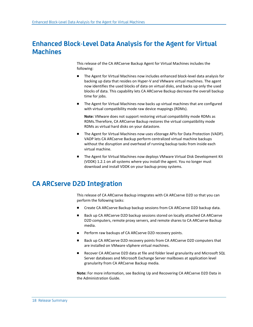### <span id="page-17-0"></span>**Enhanced Block-Level Data Analysis for the Agent for Virtual Machines**

This release of the CA ARCserve Backup Agent for Virtual Machines includes the following:

- The Agent for Virtual Machines now includes enhanced block-level data analysis for backing up data that resides on Hyper-V and VMware virtual machines. The agent now identifies the used blocks of data on virtual disks, and backs up only the used blocks of data. This capability lets CA ARCserve Backup decrease the overall backup time for jobs.
- The Agent for Virtual Machines now backs up virtual machines that are configured with virtual compatibility mode raw device mappings (RDMs).

**Note:** VMware does not support restoring virtual compatibility mode RDMs as RDMs.Therefore, CA ARCserve Backup restores the virtual compatibility mode RDMs as virtual hard disks on your datastore.

- The Agent for Virtual Machines now uses vStorage APIs for Data Protection (VADP). VADP lets CA ARCserve Backup perform centralized virtual machine backups without the disruption and overhead of running backup tasks from inside each virtual machine.
- The Agent for Virtual Machines now deploys VMware Virtual Disk Development Kit (VDDK) 1.2.1 on all systems where you install the agent. You no longer must download and install VDDK on your backup proxy systems.

### <span id="page-17-1"></span>**CA ARCserve D2D Integration**

This release of CA ARCserve Backup integrates with CA ARCserve D2D so that you can perform the following tasks:

- Create CA ARCserve Backup backup sessions from CA ARCserve D2D backup data.
- Back up CA ARCserve D2D backup sessions stored on locally attached CA ARCserve D2D computers, remote proxy servers, and remote shares to CA ARCserve Backup media.
- Perform raw backups of CA ARCserve D2D recovery points.
- Back up CA ARCserve D2D recovery points from CA ARCserve D2D computers that are installed on VMware vSphere virtual machines.
- Recover CA ARCserve D2D data at file and folder level granularity and Microsoft SQL Server databases and Microsoft Exchange Server mailboxes at application level granularity from CA ARCserve Backup media.

**Note:** For more information, see Backing Up and Recovering CA ARCserve D2D Data in the Administration Guide.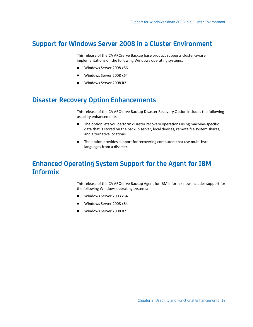#### <span id="page-18-0"></span>**Support for Windows Server 2008 in a Cluster Environment**

This release of the CA ARCserve Backup base product supports cluster-aware implementations on the following Windows operating systems:

- Windows Server 2008 x86
- Windows Server 2008 x64
- Windows Server 2008 R2

#### <span id="page-18-1"></span>**Disaster Recovery Option Enhancements**

This release of the CA ARCserve Backup Disaster Recovery Option includes the following usability enhancements:

- The option lets you perform disaster recovery operations using machine-specific data that is stored on the backup server, local devices, remote file system shares, and alternative locations.
- The option provides support for recovering computers that use multi-byte languages from a disaster.

### <span id="page-18-2"></span>**Enhanced Operating System Support for the Agent for IBM Informix**

This release of the CA ARCserve Backup Agent for IBM Informix now includes support for the following Windows operating systems:

- Windows Server 2003 x64
- Windows Server 2008 x64
- Windows Server 2008 R2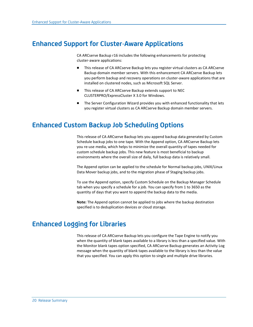#### <span id="page-19-0"></span>**Enhanced Support for Cluster-Aware Applications**

CA ARCserve Backup r16 includes the following enhancements for protecting cluster-aware applications:

- This release of CA ARCserve Backup lets you register virtual clusters as CA ARCserve Backup domain member servers. With this enhancement CA ARCserve Backup lets you perform backup and recovery operations on cluster-aware applications that are installed on clustered nodes, such as Microsoft SQL Server.
- This release of CA ARCserve Backup extends support to NEC CLUSTERPRO/ExpressCluster X 3.0 for Windows.
- The Server Configuration Wizard provides you with enhanced functionality that lets you register virtual clusters as CA ARCserve Backup domain member servers.

#### <span id="page-19-1"></span>**Enhanced Custom Backup Job Scheduling Options**

This release of CA ARCserve Backup lets you append backup data generated by Custom Schedule backup jobs to one tape. With the Append option, CA ARCserve Backup lets you re-use media, which helps to minimize the overall quantity of tapes needed for custom schedule backup jobs. This new feature is most beneficial to backup environments where the overall size of daily, full backup data is relatively small.

The Append option can be applied to the schedule for Normal backup jobs, UNIX/Linux Data Mover backup jobs, and to the migration phase of Staging backup jobs.

To use the Append option, specify Custom Schedule on the Backup Manager Schedule tab when you specify a schedule for a job. You can specify from 1 to 3650 as the quantity of days that you want to append the backup data to the media.

**Note:** The Append option cannot be applied to jobs where the backup destination specified is to deduplication devices or cloud storage.

#### <span id="page-19-2"></span>**Enhanced Logging for Libraries**

This release of CA ARCserve Backup lets you configure the Tape Engine to notify you when the quantity of blank tapes available to a library is less than a specified value. With the Monitor blank tapes option specified, CA ARCserve Backup generates an Activity Log message when the quantity of blank tapes available to the library is less than the value that you specified. You can apply this option to single and multiple drive libraries.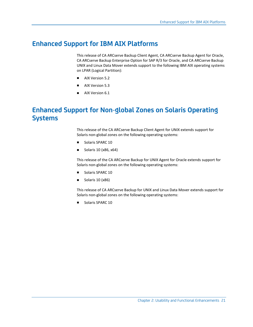### <span id="page-20-0"></span>**Enhanced Support for IBM AIX Platforms**

This release of CA ARCserve Backup Client Agent, CA ARCserve Backup Agent for Oracle, CA ARCserve Backup Enterprise Option for SAP R/3 for Oracle, and CA ARCserve Backup UNIX and Linux Data Mover extends support to the following IBM AIX operating systems on LPAR (Logical Partition):

- AIX Version 5.2
- AIX Version 5.3
- AIX Version 6.1

### <span id="page-20-1"></span>**Enhanced Support for Non-global Zones on Solaris Operating Systems**

This release of the CA ARCserve Backup Client Agent for UNIX extends support for Solaris non-global zones on the following operating systems:

- Solaris SPARC 10
- Solaris 10 (x86, x64)

This release of the CA ARCserve Backup for UNIX Agent for Oracle extends support for Solaris non-global zones on the following operating systems:

- Solaris SPARC 10
- Solaris 10 (x86)

This release of CA ARCserve Backup for UNIX and Linux Data Mover extends support for Solaris non-global zones on the following operating systems:

Solaris SPARC 10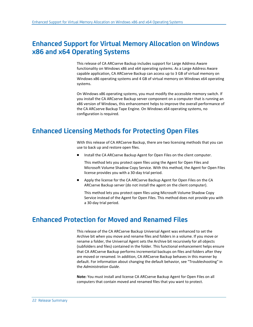#### <span id="page-21-0"></span>**Enhanced Support for Virtual Memory Allocation on Windows x86 and x64 Operating Systems**

This release of CA ARCserve Backup includes support for Large Address Aware functionality on Windows x86 and x64 operating systems. As a Large Address Aware capable application, CA ARCserve Backup can access up to 3 GB of virtual memory on Windows x86 operating systems and 4 GB of virtual memory on Windows x64 operating systems.

On Windows x86 operating systems, you must modify the accessible memory switch. If you install the CA ARCserve Backup server component on a computer that is running an x86 version of Windows, this enhancement helps to improve the overall performance of the CA ARCserve Backup Tape Engine. On Windows x64 operating systems, no configuration is required.

### <span id="page-21-1"></span>**Enhanced Licensing Methods for Protecting Open Files**

With this release of CA ARCserve Backup, there are two licensing methods that you can use to back up and restore open files.

Install the CA ARCserve Backup Agent for Open Files on the client computer.

This method lets you protect open files using the Agent for Open Files and Microsoft Volume Shadow Copy Service. With this method, the Agent for Open Files license provides you with a 30-day trial period.

Apply the license for the CA ARCserve Backup Agent for Open Files on the CA ARCserve Backup server (do not install the agent on the client computer).

This method lets you protect open files using Microsoft Volume Shadow Copy Service instead of the Agent for Open Files. This method does not provide you with a 30-day trial period.

#### <span id="page-21-2"></span>**Enhanced Protection for Moved and Renamed Files**

This release of the CA ARCserve Backup Universal Agent was enhanced to set the Archive bit when you move and rename files and folders in a volume. If you move or rename a folder, the Universal Agent sets the Archive bit recursively for all objects (subfolders and files) contained in the folder. This functional enhancement helps ensure that CA ARCserve Backup performs incremental backups on files and folders after they are moved or renamed. In addition, CA ARCserve Backup behaves in this manner by default. For information about changing the default behavior, see "Troubleshooting" in the *Administration Guide*.

**Note:** You must install and license CA ARCserve Backup Agent for Open Files on all computers that contain moved and renamed files that you want to protect.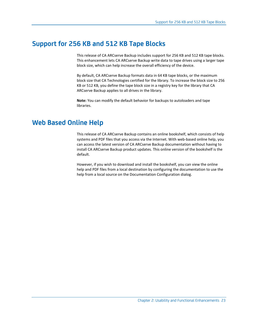#### <span id="page-22-0"></span>**Support for 256 KB and 512 KB Tape Blocks**

This release of CA ARCserve Backup includes support for 256 KB and 512 KB tape blocks. This enhancement lets CA ARCserve Backup write data to tape drives using a larger tape block size, which can help increase the overall efficiency of the device.

By default, CA ARCserve Backup formats data in 64 KB tape blocks, or the maximum block size that CA Technologies certified for the library. To increase the block size to 256 KB or 512 KB, you define the tape block size in a registry key for the library that CA ARCserve Backup applies to all drives in the library.

**Note:** You can modify the default behavior for backups to autoloaders and tape libraries.

#### <span id="page-22-1"></span>**Web Based Online Help**

This release of CA ARCserve Backup contains an online bookshelf, which consists of help systems and PDF files that you access via the Internet. With web-based online help, you can access the latest version of CA ARCserve Backup documentation without having to install CA ARCserve Backup product updates. This online version of the bookshelf is the default.

However, if you wish to download and install the bookshelf, you can view the online help and PDF files from a local destination by configuring the documentation to use the help from a local source on the Documentation Configuration dialog.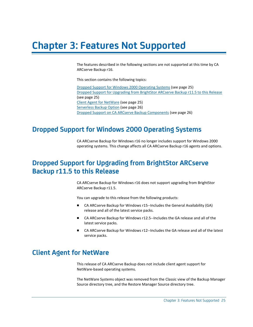## <span id="page-24-0"></span>**Chapter 3: Features Not Supported**

The features described in the following sections are not supported at this time by CA ARCserve Backup r16.

This section contains the following topics:

[Dropped Support for Windows 2000 Operating Systems](#page-24-1) (see page 25) [Dropped Support for Upgrading from BrightStor ARCserve Backup r11.5 to this Release](#page-24-2) (see page 25) [Client Agent for NetWare](#page-24-3) (see page 25) [Serverless Backup Option](#page-25-0) (see page 26) [Dropped Support on CA ARCserve Backup Components](#page-25-1) (see page 26)

#### <span id="page-24-1"></span>**Dropped Support for Windows 2000 Operating Systems**

CA ARCserve Backup for Windows r16 no longer includes support for Windows 2000 operating systems. This change affects all CA ARCserve Backup r16 agents and options.

#### <span id="page-24-2"></span>**Dropped Support for Upgrading from BrightStor ARCserve Backup r11.5 to this Release**

CA ARCserve Backup for Windows r16 does not support upgrading from BrightStor ARCserve Backup r11.5.

You can upgrade to this release from the following products:

- CA ARCserve Backup for Windows r15--Includes the General Availability (GA) release and all of the latest service packs.
- CA ARCserve Backup for Windows r12.5--Includes the GA release and all of the latest service packs.
- CA ARCserve Backup for Windows r12--Includes the GA release and all of the latest service packs.

#### <span id="page-24-3"></span>**Client Agent for NetWare**

This release of CA ARCserve Backup does not include client agent support for NetWare-based operating systems.

The NetWare Systems object was removed from the Classic view of the Backup Manager Source directory tree, and the Restore Manager Source directory tree.